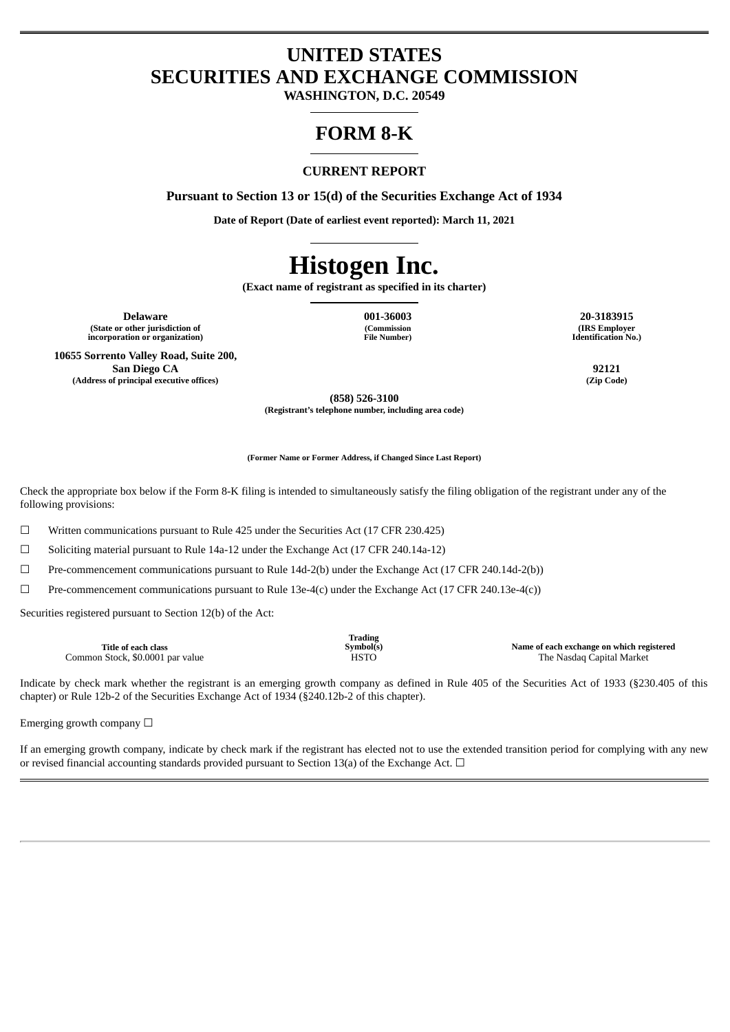## **UNITED STATES SECURITIES AND EXCHANGE COMMISSION**

**WASHINGTON, D.C. 20549**

## **FORM 8-K**

#### **CURRENT REPORT**

**Pursuant to Section 13 or 15(d) of the Securities Exchange Act of 1934**

**Date of Report (Date of earliest event reported): March 11, 2021**

# **Histogen Inc.**

**(Exact name of registrant as specified in its charter)**

**Delaware 001-36003 20-3183915 (State or other jurisdiction of incorporation or organization)**

**(Commission File Number)**

**(IRS Employer Identification No.)**

**10655 Sorrento Valley Road, Suite 200, San Diego CA 92121 (Address of principal executive offices) (Zip Code)**

**(858) 526-3100 (Registrant's telephone number, including area code)**

**(Former Name or Former Address, if Changed Since Last Report)**

Check the appropriate box below if the Form 8-K filing is intended to simultaneously satisfy the filing obligation of the registrant under any of the following provisions:

☐ Written communications pursuant to Rule 425 under the Securities Act (17 CFR 230.425)

 $\Box$  Soliciting material pursuant to Rule 14a-12 under the Exchange Act (17 CFR 240.14a-12)

☐ Pre-commencement communications pursuant to Rule 14d-2(b) under the Exchange Act (17 CFR 240.14d-2(b))

☐ Pre-commencement communications pursuant to Rule 13e-4(c) under the Exchange Act (17 CFR 240.13e-4(c))

Securities registered pursuant to Section 12(b) of the Act:

| Trading<br>Symbol(s)<br>Title of each class<br>Common Stock, \$0.0001 par value<br><b>HSTO</b> | Name of each exchange on which registered<br>The Nasdaq Capital Market |
|------------------------------------------------------------------------------------------------|------------------------------------------------------------------------|
|------------------------------------------------------------------------------------------------|------------------------------------------------------------------------|

Indicate by check mark whether the registrant is an emerging growth company as defined in Rule 405 of the Securities Act of 1933 (§230.405 of this chapter) or Rule 12b-2 of the Securities Exchange Act of 1934 (§240.12b-2 of this chapter).

Emerging growth company  $\Box$ 

If an emerging growth company, indicate by check mark if the registrant has elected not to use the extended transition period for complying with any new or revised financial accounting standards provided pursuant to Section 13(a) of the Exchange Act.  $\Box$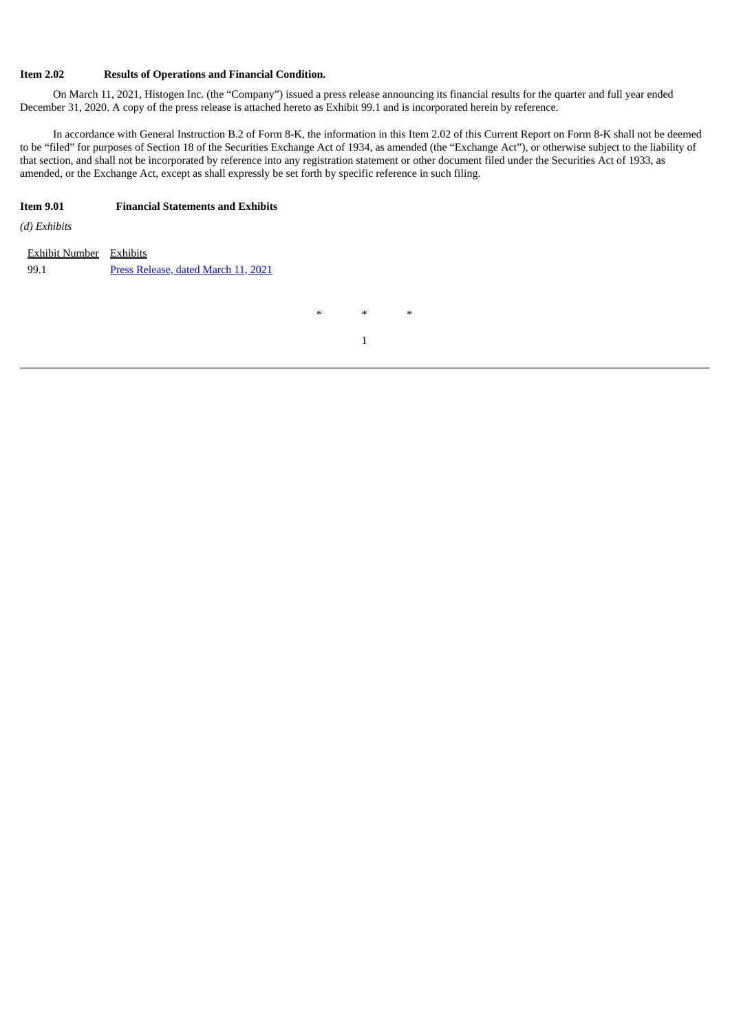#### **Item 2.02 Results of Operations and Financial Condition.**

On March 11, 2021, Histogen Inc. (the "Company") issued a press release announcing its financial results for the quarter and full year ended December 31, 2020. A copy of the press release is attached hereto as Exhibit 99.1 and is incorporated herein by reference.

In accordance with General Instruction B.2 of Form 8-K, the information in this Item 2.02 of this Current Report on Form 8-K shall not be deemed to be "filed" for purposes of Section 18 of the Securities Exchange Act of 1934, as amended (the "Exchange Act"), or otherwise subject to the liability of that section, and shall not be incorporated by reference into any registration statement or other document filed under the Securities Act of 1933, as amended, or the Exchange Act, except as shall expressly be set forth by specific reference in such filing.

#### **Item 9.01 Financial Statements and Exhibits**

*(d) Exhibits*

| Exhibit Number Exhibits |                                     |
|-------------------------|-------------------------------------|
| 99.1                    | Press Release, dated March 11, 2021 |

\* \* \*

1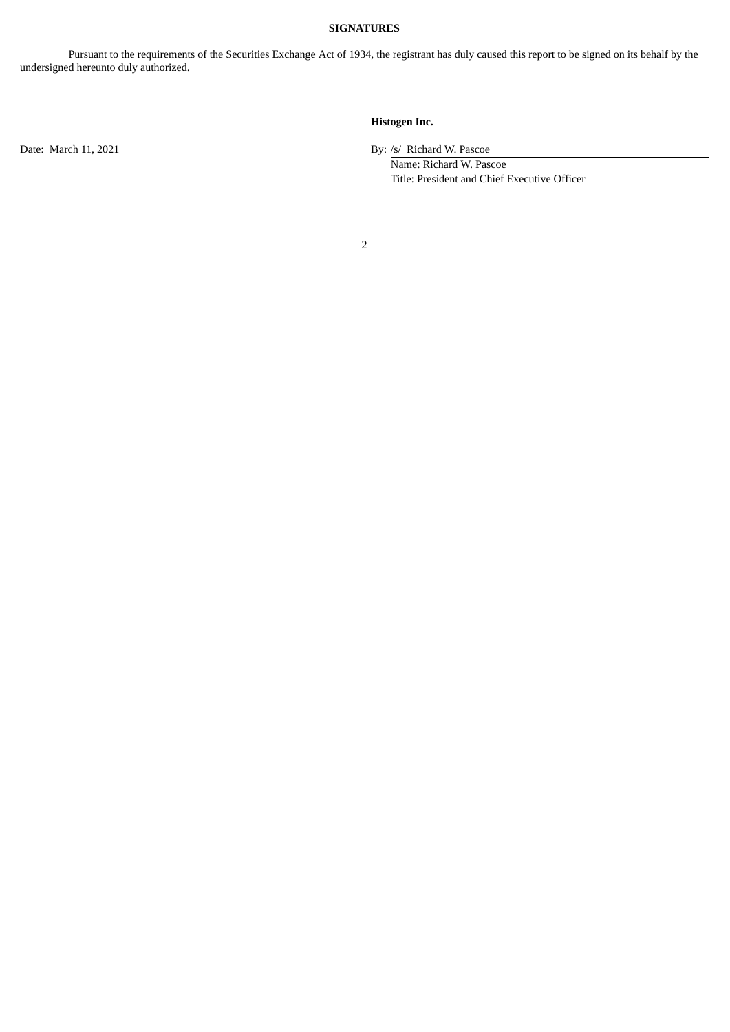#### **SIGNATURES**

Pursuant to the requirements of the Securities Exchange Act of 1934, the registrant has duly caused this report to be signed on its behalf by the undersigned hereunto duly authorized.

#### **Histogen Inc.**

Date: March 11, 2021 By: /s/ Richard W. Pascoe

Name: Richard W. Pascoe Title: President and Chief Executive Officer

2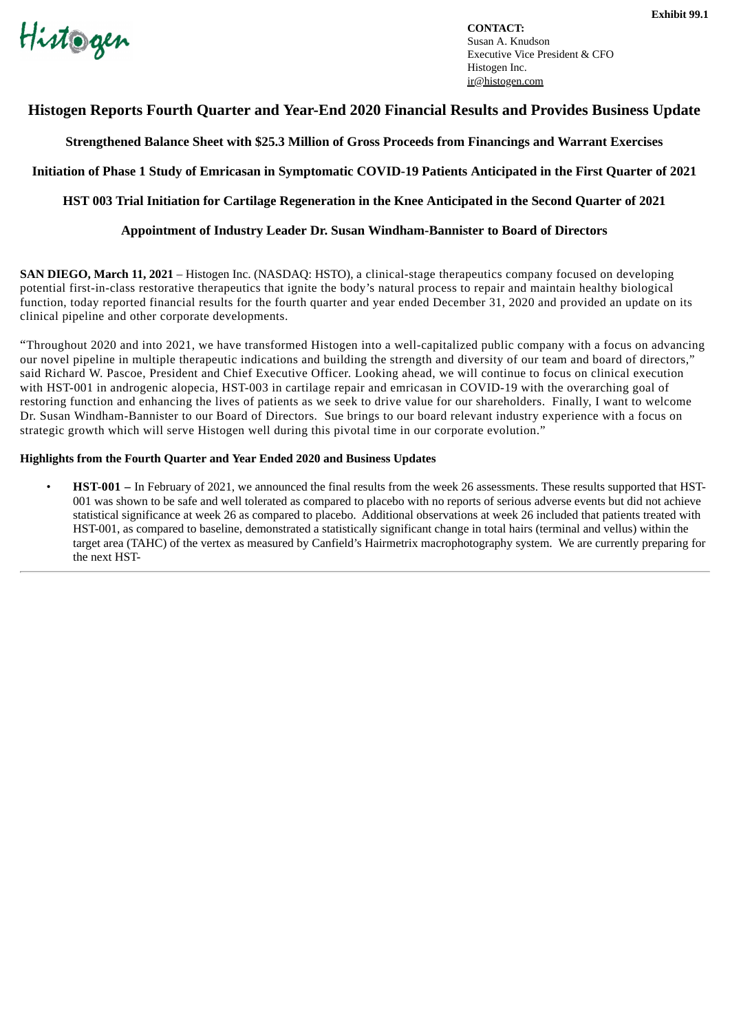<span id="page-3-0"></span>Histogen

**CONTACT:** Susan A. Knudson Executive Vice President & CFO Histogen Inc. ir@histogen.com

### **Histogen Reports Fourth Quarter and Year-End 2020 Financial Results and Provides Business Update**

**Strengthened Balance Sheet with \$25.3 Million of Gross Proceeds from Financings and Warrant Exercises**

**Initiation of Phase 1 Study of Emricasan in Symptomatic COVID-19 Patients Anticipated in the First Quarter of 2021**

**HST 003 Trial Initiation for Cartilage Regeneration in the Knee Anticipated in the Second Quarter of 2021**

#### **Appointment of Industry Leader Dr. Susan Windham-Bannister to Board of Directors**

**SAN DIEGO, March 11, 2021** – Histogen Inc. (NASDAQ: HSTO), a clinical-stage therapeutics company focused on developing potential first-in-class restorative therapeutics that ignite the body's natural process to repair and maintain healthy biological function, today reported financial results for the fourth quarter and year ended December 31, 2020 and provided an update on its clinical pipeline and other corporate developments.

"Throughout 2020 and into 2021, we have transformed Histogen into a well-capitalized public company with a focus on advancing our novel pipeline in multiple therapeutic indications and building the strength and diversity of our team and board of directors," said Richard W. Pascoe, President and Chief Executive Officer. Looking ahead, we will continue to focus on clinical execution with HST-001 in androgenic alopecia, HST-003 in cartilage repair and emricasan in COVID-19 with the overarching goal of restoring function and enhancing the lives of patients as we seek to drive value for our shareholders. Finally, I want to welcome Dr. Susan Windham-Bannister to our Board of Directors. Sue brings to our board relevant industry experience with a focus on strategic growth which will serve Histogen well during this pivotal time in our corporate evolution."

#### **Highlights from the Fourth Quarter and Year Ended 2020 and Business Updates**

• **HST-001 –** In February of 2021, we announced the final results from the week 26 assessments. These results supported that HST-001 was shown to be safe and well tolerated as compared to placebo with no reports of serious adverse events but did not achieve statistical significance at week 26 as compared to placebo. Additional observations at week 26 included that patients treated with HST-001, as compared to baseline, demonstrated a statistically significant change in total hairs (terminal and vellus) within the target area (TAHC) of the vertex as measured by Canfield's Hairmetrix macrophotography system. We are currently preparing for the next HST-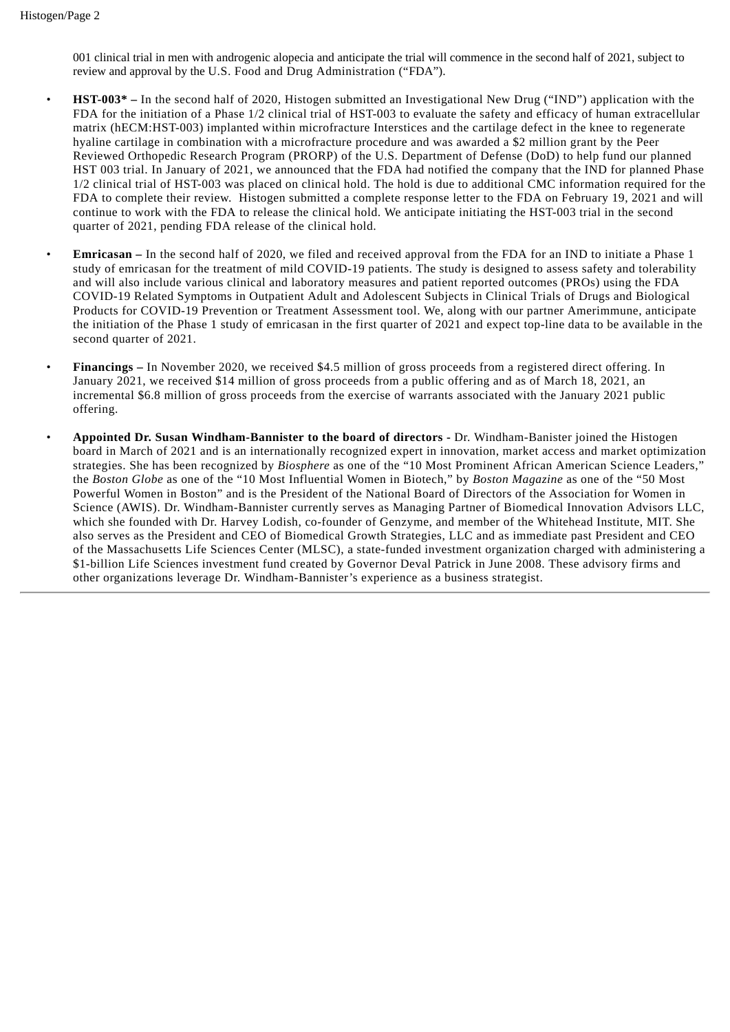001 clinical trial in men with androgenic alopecia and anticipate the trial will commence in the second half of 2021, subject to review and approval by the U.S. Food and Drug Administration ("FDA").

- **HST-003\* –** In the second half of 2020, Histogen submitted an Investigational New Drug ("IND") application with the FDA for the initiation of a Phase 1/2 clinical trial of HST-003 to evaluate the safety and efficacy of human extracellular matrix (hECM:HST-003) implanted within microfracture Interstices and the cartilage defect in the knee to regenerate hyaline cartilage in combination with a microfracture procedure and was awarded a \$2 million grant by the Peer Reviewed Orthopedic Research Program (PRORP) of the U.S. Department of Defense (DoD) to help fund our planned HST 003 trial. In January of 2021, we announced that the FDA had notified the company that the IND for planned Phase 1/2 clinical trial of HST-003 was placed on clinical hold. The hold is due to additional CMC information required for the FDA to complete their review. Histogen submitted a complete response letter to the FDA on February 19, 2021 and will continue to work with the FDA to release the clinical hold. We anticipate initiating the HST-003 trial in the second quarter of 2021, pending FDA release of the clinical hold.
- **Emricasan –** In the second half of 2020, we filed and received approval from the FDA for an IND to initiate a Phase 1 study of emricasan for the treatment of mild COVID-19 patients. The study is designed to assess safety and tolerability and will also include various clinical and laboratory measures and patient reported outcomes (PROs) using the FDA COVID-19 Related Symptoms in Outpatient Adult and Adolescent Subjects in Clinical Trials of Drugs and Biological Products for COVID-19 Prevention or Treatment Assessment tool. We, along with our partner Amerimmune, anticipate the initiation of the Phase 1 study of emricasan in the first quarter of 2021 and expect top-line data to be available in the second quarter of 2021.
- **Financings –** In November 2020, we received \$4.5 million of gross proceeds from a registered direct offering. In January 2021, we received \$14 million of gross proceeds from a public offering and as of March 18, 2021, an incremental \$6.8 million of gross proceeds from the exercise of warrants associated with the January 2021 public offering.
- **Appointed Dr. Susan Windham-Bannister to the board of directors -** Dr. Windham-Banister joined the Histogen board in March of 2021 and is an internationally recognized expert in innovation, market access and market optimization strategies. She has been recognized by *Biosphere* as one of the "10 Most Prominent African American Science Leaders," the *Boston Globe* as one of the "10 Most Influential Women in Biotech," by *Boston Magazine* as one of the "50 Most Powerful Women in Boston" and is the President of the National Board of Directors of the Association for Women in Science (AWIS). Dr. Windham-Bannister currently serves as Managing Partner of Biomedical Innovation Advisors LLC, which she founded with Dr. Harvey Lodish, co-founder of Genzyme, and member of the Whitehead Institute, MIT. She also serves as the President and CEO of Biomedical Growth Strategies, LLC and as immediate past President and CEO of the Massachusetts Life Sciences Center (MLSC), a state-funded investment organization charged with administering a \$1-billion Life Sciences investment fund created by Governor Deval Patrick in June 2008. These advisory firms and other organizations leverage Dr. Windham-Bannister's experience as a business strategist.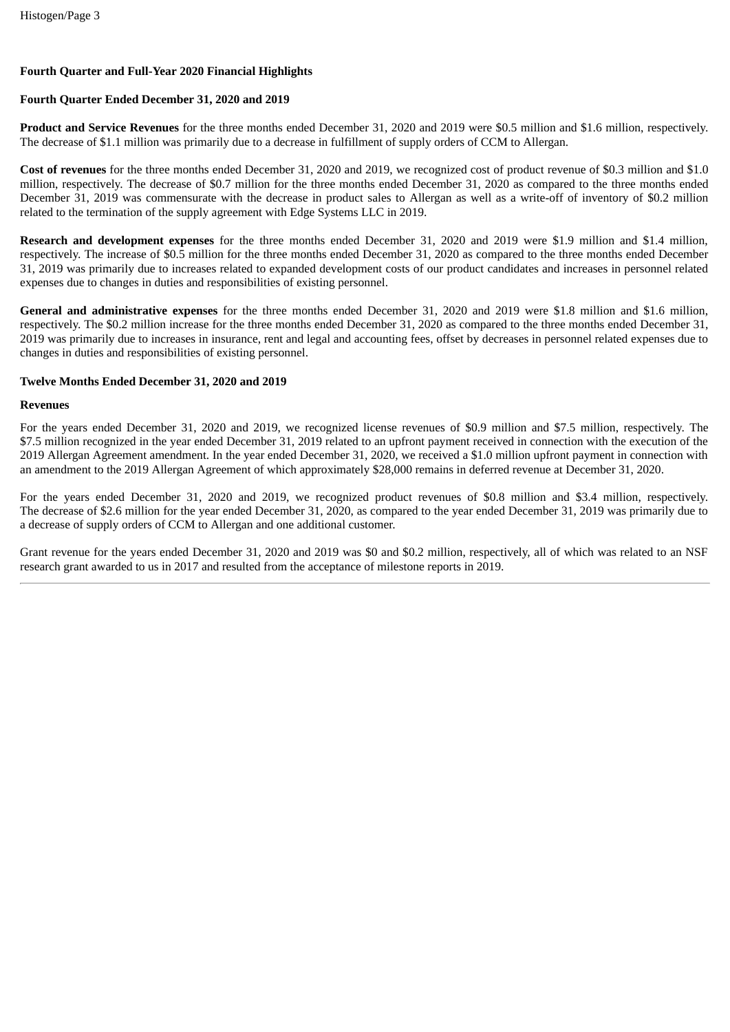#### **Fourth Quarter and Full-Year 2020 Financial Highlights**

#### **Fourth Quarter Ended December 31, 2020 and 2019**

**Product and Service Revenues** for the three months ended December 31, 2020 and 2019 were \$0.5 million and \$1.6 million, respectively. The decrease of \$1.1 million was primarily due to a decrease in fulfillment of supply orders of CCM to Allergan.

**Cost of revenues** for the three months ended December 31, 2020 and 2019, we recognized cost of product revenue of \$0.3 million and \$1.0 million, respectively. The decrease of \$0.7 million for the three months ended December 31, 2020 as compared to the three months ended December 31, 2019 was commensurate with the decrease in product sales to Allergan as well as a write-off of inventory of \$0.2 million related to the termination of the supply agreement with Edge Systems LLC in 2019.

**Research and development expenses** for the three months ended December 31, 2020 and 2019 were \$1.9 million and \$1.4 million, respectively. The increase of \$0.5 million for the three months ended December 31, 2020 as compared to the three months ended December 31, 2019 was primarily due to increases related to expanded development costs of our product candidates and increases in personnel related expenses due to changes in duties and responsibilities of existing personnel.

**General and administrative expenses** for the three months ended December 31, 2020 and 2019 were \$1.8 million and \$1.6 million, respectively. The \$0.2 million increase for the three months ended December 31, 2020 as compared to the three months ended December 31, 2019 was primarily due to increases in insurance, rent and legal and accounting fees, offset by decreases in personnel related expenses due to changes in duties and responsibilities of existing personnel.

#### **Twelve Months Ended December 31, 2020 and 2019**

#### **Revenues**

For the years ended December 31, 2020 and 2019, we recognized license revenues of \$0.9 million and \$7.5 million, respectively. The \$7.5 million recognized in the year ended December 31, 2019 related to an upfront payment received in connection with the execution of the 2019 Allergan Agreement amendment. In the year ended December 31, 2020, we received a \$1.0 million upfront payment in connection with an amendment to the 2019 Allergan Agreement of which approximately \$28,000 remains in deferred revenue at December 31, 2020.

For the years ended December 31, 2020 and 2019, we recognized product revenues of \$0.8 million and \$3.4 million, respectively. The decrease of \$2.6 million for the year ended December 31, 2020, as compared to the year ended December 31, 2019 was primarily due to a decrease of supply orders of CCM to Allergan and one additional customer.

Grant revenue for the years ended December 31, 2020 and 2019 was \$0 and \$0.2 million, respectively, all of which was related to an NSF research grant awarded to us in 2017 and resulted from the acceptance of milestone reports in 2019.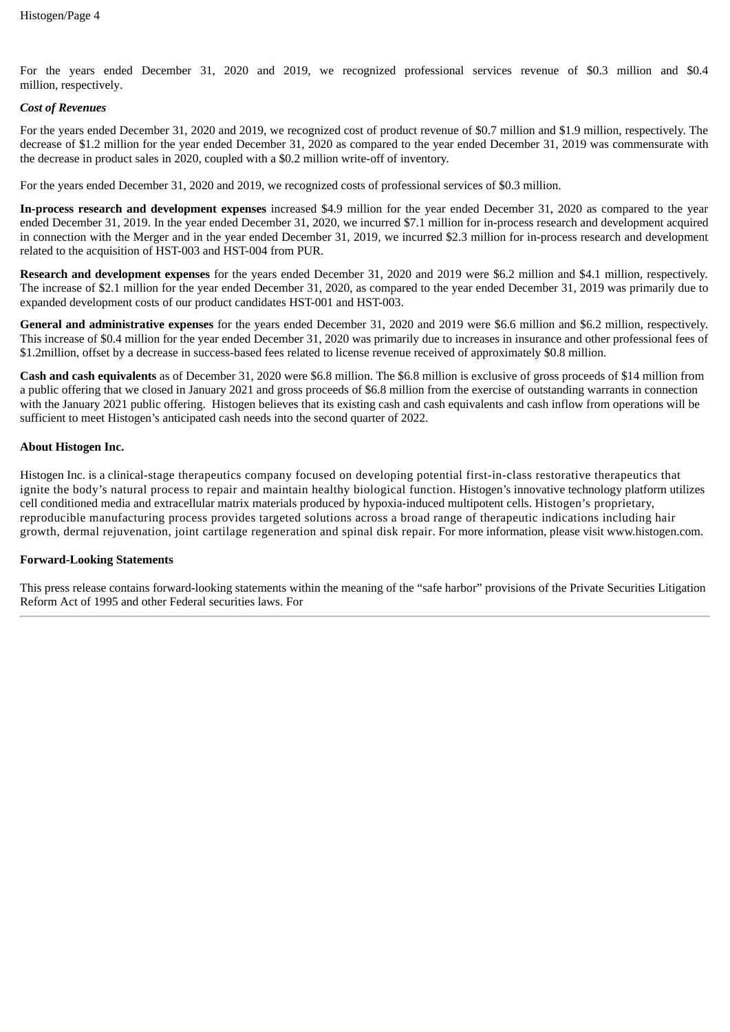For the years ended December 31, 2020 and 2019, we recognized professional services revenue of \$0.3 million and \$0.4 million, respectively.

#### *Cost of Revenues*

For the years ended December 31, 2020 and 2019, we recognized cost of product revenue of \$0.7 million and \$1.9 million, respectively. The decrease of \$1.2 million for the year ended December 31, 2020 as compared to the year ended December 31, 2019 was commensurate with the decrease in product sales in 2020, coupled with a \$0.2 million write-off of inventory.

For the years ended December 31, 2020 and 2019, we recognized costs of professional services of \$0.3 million.

**In-process research and development expenses** increased \$4.9 million for the year ended December 31, 2020 as compared to the year ended December 31, 2019. In the year ended December 31, 2020, we incurred \$7.1 million for in-process research and development acquired in connection with the Merger and in the year ended December 31, 2019, we incurred \$2.3 million for in-process research and development related to the acquisition of HST-003 and HST-004 from PUR.

**Research and development expenses** for the years ended December 31, 2020 and 2019 were \$6.2 million and \$4.1 million, respectively. The increase of \$2.1 million for the year ended December 31, 2020, as compared to the year ended December 31, 2019 was primarily due to expanded development costs of our product candidates HST-001 and HST-003.

**General and administrative expenses** for the years ended December 31, 2020 and 2019 were \$6.6 million and \$6.2 million, respectively. This increase of \$0.4 million for the year ended December 31, 2020 was primarily due to increases in insurance and other professional fees of \$1.2million, offset by a decrease in success-based fees related to license revenue received of approximately \$0.8 million.

**Cash and cash equivalents** as of December 31, 2020 were \$6.8 million. The \$6.8 million is exclusive of gross proceeds of \$14 million from a public offering that we closed in January 2021 and gross proceeds of \$6.8 million from the exercise of outstanding warrants in connection with the January 2021 public offering. Histogen believes that its existing cash and cash equivalents and cash inflow from operations will be sufficient to meet Histogen's anticipated cash needs into the second quarter of 2022.

#### **About Histogen Inc.**

Histogen Inc. is a clinical-stage therapeutics company focused on developing potential first-in-class restorative therapeutics that ignite the body's natural process to repair and maintain healthy biological function. Histogen's innovative technology platform utilizes cell conditioned media and extracellular matrix materials produced by hypoxia-induced multipotent cells. Histogen's proprietary, reproducible manufacturing process provides targeted solutions across a broad range of therapeutic indications including hair growth, dermal rejuvenation, joint cartilage regeneration and spinal disk repair. For more information, please visit www.histogen.com.

#### **Forward-Looking Statements**

This press release contains forward-looking statements within the meaning of the "safe harbor" provisions of the Private Securities Litigation Reform Act of 1995 and other Federal securities laws. For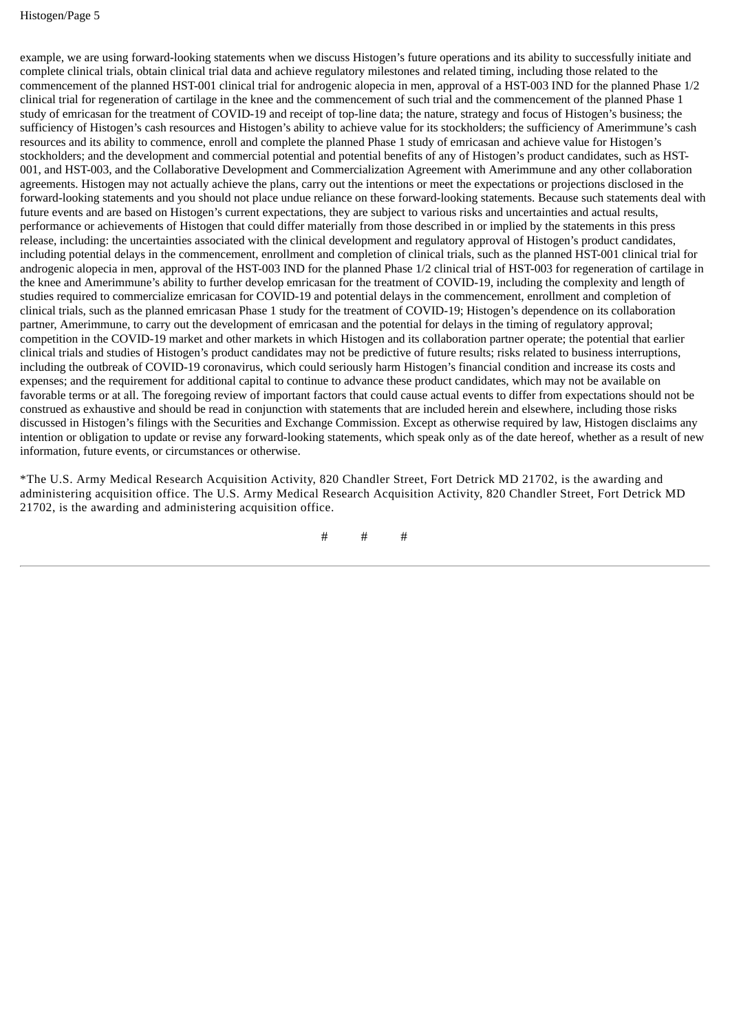example, we are using forward-looking statements when we discuss Histogen's future operations and its ability to successfully initiate and complete clinical trials, obtain clinical trial data and achieve regulatory milestones and related timing, including those related to the commencement of the planned HST-001 clinical trial for androgenic alopecia in men, approval of a HST-003 IND for the planned Phase 1/2 clinical trial for regeneration of cartilage in the knee and the commencement of such trial and the commencement of the planned Phase 1 study of emricasan for the treatment of COVID-19 and receipt of top-line data; the nature, strategy and focus of Histogen's business; the sufficiency of Histogen's cash resources and Histogen's ability to achieve value for its stockholders; the sufficiency of Amerimmune's cash resources and its ability to commence, enroll and complete the planned Phase 1 study of emricasan and achieve value for Histogen's stockholders; and the development and commercial potential and potential benefits of any of Histogen's product candidates, such as HST-001, and HST-003, and the Collaborative Development and Commercialization Agreement with Amerimmune and any other collaboration agreements. Histogen may not actually achieve the plans, carry out the intentions or meet the expectations or projections disclosed in the forward-looking statements and you should not place undue reliance on these forward-looking statements. Because such statements deal with future events and are based on Histogen's current expectations, they are subject to various risks and uncertainties and actual results, performance or achievements of Histogen that could differ materially from those described in or implied by the statements in this press release, including: the uncertainties associated with the clinical development and regulatory approval of Histogen's product candidates, including potential delays in the commencement, enrollment and completion of clinical trials, such as the planned HST-001 clinical trial for androgenic alopecia in men, approval of the HST-003 IND for the planned Phase 1/2 clinical trial of HST-003 for regeneration of cartilage in the knee and Amerimmune's ability to further develop emricasan for the treatment of COVID-19, including the complexity and length of studies required to commercialize emricasan for COVID-19 and potential delays in the commencement, enrollment and completion of clinical trials, such as the planned emricasan Phase 1 study for the treatment of COVID-19; Histogen's dependence on its collaboration partner, Amerimmune, to carry out the development of emricasan and the potential for delays in the timing of regulatory approval; competition in the COVID-19 market and other markets in which Histogen and its collaboration partner operate; the potential that earlier clinical trials and studies of Histogen's product candidates may not be predictive of future results; risks related to business interruptions, including the outbreak of COVID-19 coronavirus, which could seriously harm Histogen's financial condition and increase its costs and expenses; and the requirement for additional capital to continue to advance these product candidates, which may not be available on favorable terms or at all. The foregoing review of important factors that could cause actual events to differ from expectations should not be construed as exhaustive and should be read in conjunction with statements that are included herein and elsewhere, including those risks discussed in Histogen's filings with the Securities and Exchange Commission. Except as otherwise required by law, Histogen disclaims any intention or obligation to update or revise any forward-looking statements, which speak only as of the date hereof, whether as a result of new information, future events, or circumstances or otherwise.

\*The U.S. Army Medical Research Acquisition Activity, 820 Chandler Street, Fort Detrick MD 21702, is the awarding and administering acquisition office. The U.S. Army Medical Research Acquisition Activity, 820 Chandler Street, Fort Detrick MD 21702, is the awarding and administering acquisition office.

# # #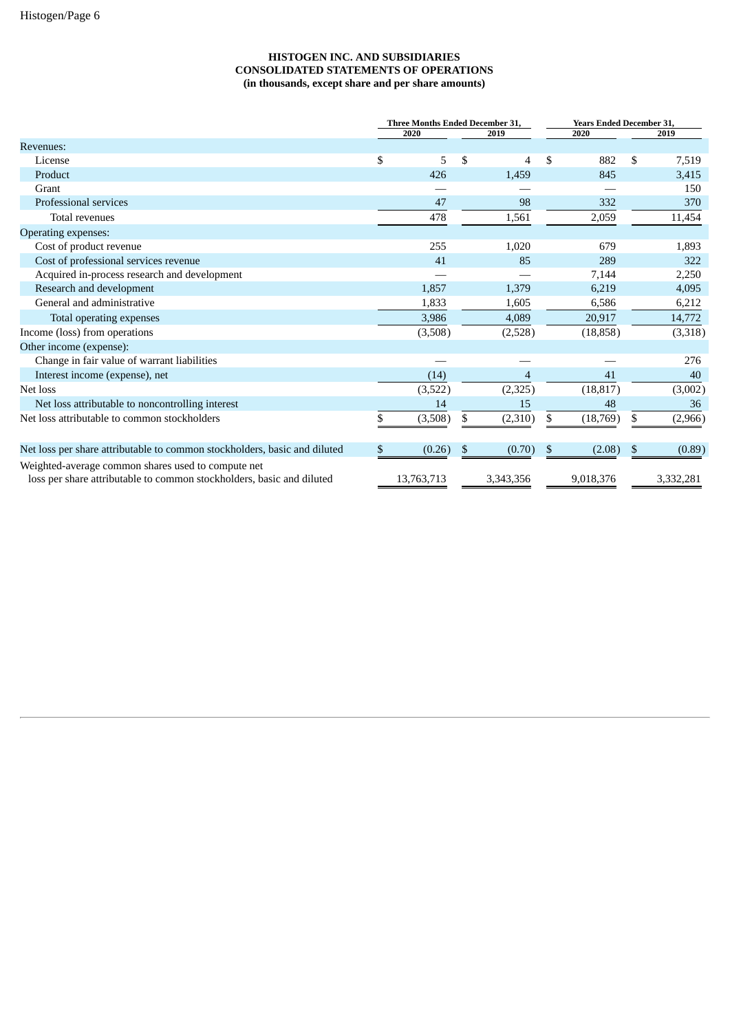#### **HISTOGEN INC. AND SUBSIDIARIES CONSOLIDATED STATEMENTS OF OPERATIONS (in thousands, except share and per share amounts)**

|                                                                                                                             | Three Months Ended December 31, |            |    | <b>Years Ended December 31,</b> |    |           |    |           |
|-----------------------------------------------------------------------------------------------------------------------------|---------------------------------|------------|----|---------------------------------|----|-----------|----|-----------|
|                                                                                                                             |                                 | 2020       |    | 2019                            |    | 2020      |    | 2019      |
| Revenues:                                                                                                                   |                                 |            |    |                                 |    |           |    |           |
| License                                                                                                                     | \$                              | 5          | \$ | 4                               | \$ | 882       | \$ | 7,519     |
| Product                                                                                                                     |                                 | 426        |    | 1,459                           |    | 845       |    | 3,415     |
| Grant                                                                                                                       |                                 |            |    |                                 |    |           |    | 150       |
| Professional services                                                                                                       |                                 | 47         |    | 98                              |    | 332       |    | 370       |
| <b>Total revenues</b>                                                                                                       |                                 | 478        |    | 1,561                           |    | 2,059     |    | 11,454    |
| <b>Operating expenses:</b>                                                                                                  |                                 |            |    |                                 |    |           |    |           |
| Cost of product revenue                                                                                                     |                                 | 255        |    | 1,020                           |    | 679       |    | 1,893     |
| Cost of professional services revenue                                                                                       |                                 | 41         |    | 85                              |    | 289       |    | 322       |
| Acquired in-process research and development                                                                                |                                 |            |    |                                 |    | 7,144     |    | 2,250     |
| Research and development                                                                                                    |                                 | 1,857      |    | 1,379                           |    | 6,219     |    | 4,095     |
| General and administrative                                                                                                  |                                 | 1,833      |    | 1,605                           |    | 6,586     |    | 6,212     |
| Total operating expenses                                                                                                    |                                 | 3,986      |    | 4,089                           |    | 20,917    |    | 14,772    |
| Income (loss) from operations                                                                                               |                                 | (3,508)    |    | (2,528)                         |    | (18, 858) |    | (3,318)   |
| Other income (expense):                                                                                                     |                                 |            |    |                                 |    |           |    |           |
| Change in fair value of warrant liabilities                                                                                 |                                 |            |    |                                 |    |           |    | 276       |
| Interest income (expense), net                                                                                              |                                 | (14)       |    | $\overline{4}$                  |    | 41        |    | 40        |
| Net loss                                                                                                                    |                                 | (3,522)    |    | (2,325)                         |    | (18, 817) |    | (3,002)   |
| Net loss attributable to noncontrolling interest                                                                            |                                 | 14         |    | 15                              |    | 48        |    | 36        |
| Net loss attributable to common stockholders                                                                                |                                 | (3,508)    | \$ | (2,310)                         | \$ | (18,769)  | \$ | (2,966)   |
| Net loss per share attributable to common stockholders, basic and diluted                                                   | S                               | (0.26)     | \$ | (0.70)                          | \$ | (2.08)    | \$ | (0.89)    |
| Weighted-average common shares used to compute net<br>loss per share attributable to common stockholders, basic and diluted |                                 | 13,763,713 |    | 3,343,356                       |    | 9,018,376 |    | 3,332,281 |